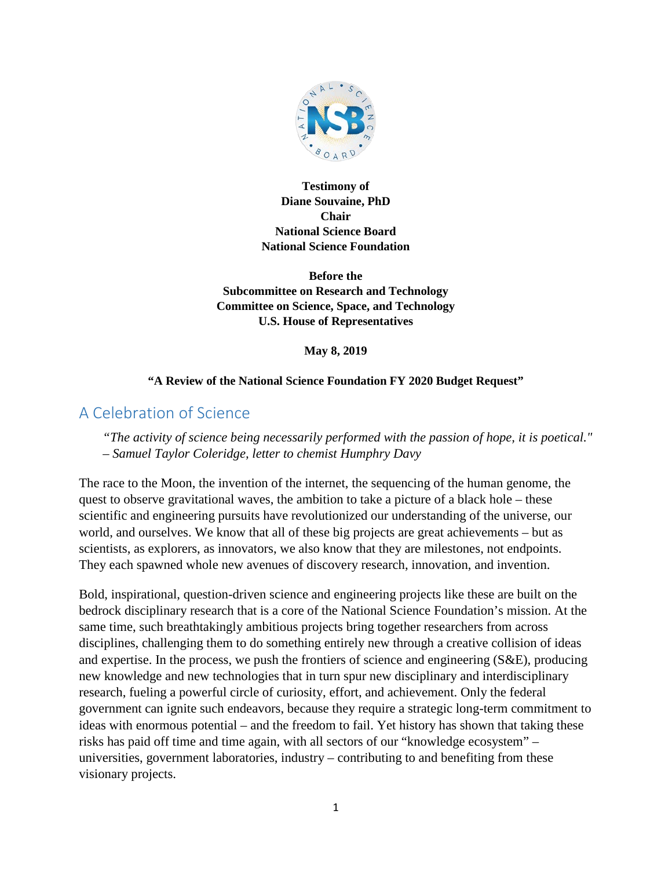

**Testimony of Diane Souvaine, PhD Chair National Science Board National Science Foundation**

**Before the Subcommittee on Research and Technology Committee on Science, Space, and Technology U.S. House of Representatives**

**May 8, 2019**

#### **"A Review of the National Science Foundation FY 2020 Budget Request"**

# A Celebration of Science

*"The activity of science being necessarily performed with the passion of hope, it is poetical."*  – *Samuel Taylor Coleridge, letter to chemist Humphry Davy*

The race to the Moon, the invention of the internet, the sequencing of the human genome, the quest to observe gravitational waves, the ambition to take a picture of a black hole – these scientific and engineering pursuits have revolutionized our understanding of the universe, our world, and ourselves. We know that all of these big projects are great achievements – but as scientists, as explorers, as innovators, we also know that they are milestones, not endpoints. They each spawned whole new avenues of discovery research, innovation, and invention.

Bold, inspirational, question-driven science and engineering projects like these are built on the bedrock disciplinary research that is a core of the National Science Foundation's mission. At the same time, such breathtakingly ambitious projects bring together researchers from across disciplines, challenging them to do something entirely new through a creative collision of ideas and expertise. In the process, we push the frontiers of science and engineering (S&E), producing new knowledge and new technologies that in turn spur new disciplinary and interdisciplinary research, fueling a powerful circle of curiosity, effort, and achievement. Only the federal government can ignite such endeavors, because they require a strategic long-term commitment to ideas with enormous potential – and the freedom to fail. Yet history has shown that taking these risks has paid off time and time again, with all sectors of our "knowledge ecosystem" – universities, government laboratories, industry – contributing to and benefiting from these visionary projects.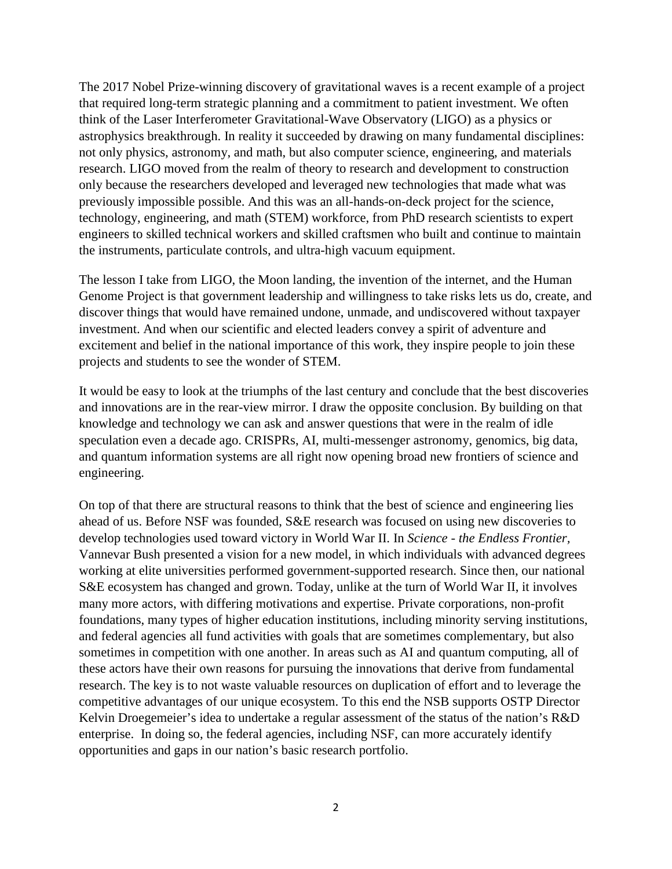The 2017 Nobel Prize-winning discovery of gravitational waves is a recent example of a project that required long-term strategic planning and a commitment to patient investment. We often think of the Laser Interferometer Gravitational-Wave Observatory (LIGO) as a physics or astrophysics breakthrough. In reality it succeeded by drawing on many fundamental disciplines: not only physics, astronomy, and math, but also computer science, engineering, and materials research. LIGO moved from the realm of theory to research and development to construction only because the researchers developed and leveraged new technologies that made what was previously impossible possible. And this was an all-hands-on-deck project for the science, technology, engineering, and math (STEM) workforce, from PhD research scientists to expert engineers to skilled technical workers and skilled craftsmen who built and continue to maintain the instruments, particulate controls, and ultra-high vacuum equipment.

The lesson I take from LIGO, the Moon landing, the invention of the internet, and the Human Genome Project is that government leadership and willingness to take risks lets us do, create, and discover things that would have remained undone, unmade, and undiscovered without taxpayer investment. And when our scientific and elected leaders convey a spirit of adventure and excitement and belief in the national importance of this work, they inspire people to join these projects and students to see the wonder of STEM.

It would be easy to look at the triumphs of the last century and conclude that the best discoveries and innovations are in the rear-view mirror. I draw the opposite conclusion. By building on that knowledge and technology we can ask and answer questions that were in the realm of idle speculation even a decade ago. CRISPRs, AI, multi-messenger astronomy, genomics, big data, and quantum information systems are all right now opening broad new frontiers of science and engineering.

On top of that there are structural reasons to think that the best of science and engineering lies ahead of us. Before NSF was founded, S&E research was focused on using new discoveries to develop technologies used toward victory in World War II. In *Science - the Endless Frontier,* Vannevar Bush presented a vision for a new model, in which individuals with advanced degrees working at elite universities performed government-supported research. Since then, our national S&E ecosystem has changed and grown. Today, unlike at the turn of World War II, it involves many more actors, with differing motivations and expertise. Private corporations, non-profit foundations, many types of higher education institutions, including minority serving institutions, and federal agencies all fund activities with goals that are sometimes complementary, but also sometimes in competition with one another. In areas such as AI and quantum computing, all of these actors have their own reasons for pursuing the innovations that derive from fundamental research. The key is to not waste valuable resources on duplication of effort and to leverage the competitive advantages of our unique ecosystem. To this end the NSB supports OSTP Director Kelvin Droegemeier's idea to undertake a regular assessment of the status of the nation's R&D enterprise. In doing so, the federal agencies, including NSF, can more accurately identify opportunities and gaps in our nation's basic research portfolio.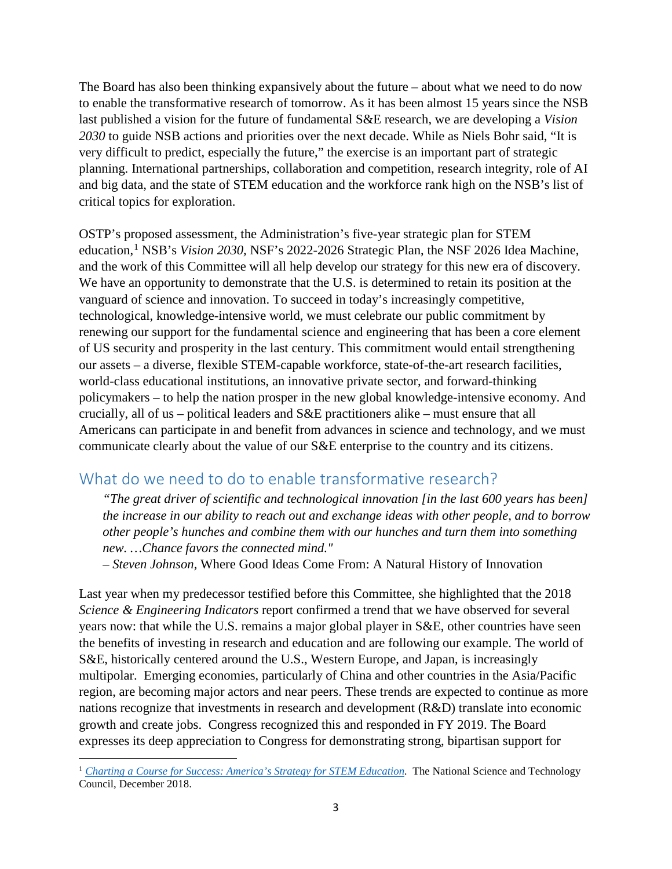The Board has also been thinking expansively about the future – about what we need to do now to enable the transformative research of tomorrow. As it has been almost 15 years since the NSB last published a vision for the future of fundamental S&E research, we are developing a *Vision 2030* to guide NSB actions and priorities over the next decade. While as Niels Bohr said, "It is very difficult to predict, especially the future," the exercise is an important part of strategic planning. International partnerships, collaboration and competition, research integrity, role of AI and big data, and the state of STEM education and the workforce rank high on the NSB's list of critical topics for exploration.

OSTP's proposed assessment, the Administration's five-year strategic plan for STEM education, [1](#page-2-0) NSB's *Vision 2030,* NSF's 2022-2026 Strategic Plan, the NSF 2026 Idea Machine, and the work of this Committee will all help develop our strategy for this new era of discovery. We have an opportunity to demonstrate that the U.S. is determined to retain its position at the vanguard of science and innovation. To succeed in today's increasingly competitive, technological, knowledge-intensive world, we must celebrate our public commitment by renewing our support for the fundamental science and engineering that has been a core element of US security and prosperity in the last century. This commitment would entail strengthening our assets – a diverse, flexible STEM-capable workforce, state-of-the-art research facilities, world-class educational institutions, an innovative private sector, and forward-thinking policymakers – to help the nation prosper in the new global knowledge-intensive economy. And crucially, all of us – political leaders and S&E practitioners alike – must ensure that all Americans can participate in and benefit from advances in science and technology, and we must communicate clearly about the value of our S&E enterprise to the country and its citizens.

# What do we need to do to enable transformative research?

*"The great driver of scientific and technological innovation [in the last 600 years has been] the increase in our ability to reach out and exchange ideas with other people, and to borrow other people's hunches and combine them with our hunches and turn them into something new. …Chance favors the connected mind."* 

*– Steven Johnson,* Where Good Ideas Come From: A Natural History of Innovation

Last year when my predecessor testified before this Committee, she highlighted that the 2018 *Science & Engineering Indicators* report confirmed a trend that we have observed for several years now: that while the U.S. remains a major global player in S&E, other countries have seen the benefits of investing in research and education and are following our example. The world of S&E, historically centered around the U.S., Western Europe, and Japan, is increasingly multipolar. Emerging economies, particularly of China and other countries in the Asia/Pacific region, are becoming major actors and near peers. These trends are expected to continue as more nations recognize that investments in research and development (R&D) translate into economic growth and create jobs. Congress recognized this and responded in FY 2019. The Board expresses its deep appreciation to Congress for demonstrating strong, bipartisan support for

l

<span id="page-2-0"></span><sup>&</sup>lt;sup>1</sup> *Charting a Course for Success: America's Strategy for STEM Education*. The National Science and Technology Council, December 2018.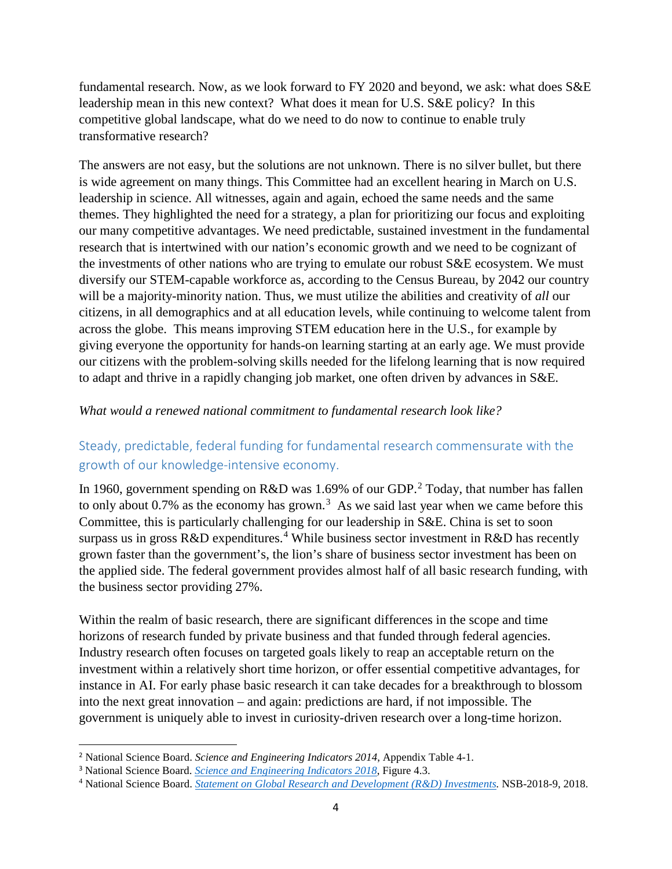fundamental research. Now, as we look forward to FY 2020 and beyond, we ask: what does S&E leadership mean in this new context? What does it mean for U.S. S&E policy? In this competitive global landscape, what do we need to do now to continue to enable truly transformative research?

The answers are not easy, but the solutions are not unknown. There is no silver bullet, but there is wide agreement on many things. This Committee had an excellent hearing in March on U.S. leadership in science. All witnesses, again and again, echoed the same needs and the same themes. They highlighted the need for a strategy, a plan for prioritizing our focus and exploiting our many competitive advantages. We need predictable, sustained investment in the fundamental research that is intertwined with our nation's economic growth and we need to be cognizant of the investments of other nations who are trying to emulate our robust S&E ecosystem. We must diversify our STEM-capable workforce as, according to the Census Bureau, by 2042 our country will be a majority-minority nation. Thus, we must utilize the abilities and creativity of *all* our citizens, in all demographics and at all education levels, while continuing to welcome talent from across the globe. This means improving STEM education here in the U.S., for example by giving everyone the opportunity for hands-on learning starting at an early age. We must provide our citizens with the problem-solving skills needed for the lifelong learning that is now required to adapt and thrive in a rapidly changing job market, one often driven by advances in S&E.

#### *What would a renewed national commitment to fundamental research look like?*

## Steady, predictable, federal funding for fundamental research commensurate with the growth of our knowledge-intensive economy.

In 1960, government spending on R&D was 1.69% of our GDP.<sup>[2](#page-3-0)</sup> Today, that number has fallen to only about 0.7% as the economy has grown.<sup>[3](#page-3-1)</sup> As we said last year when we came before this Committee, this is particularly challenging for our leadership in S&E. China is set to soon surpass us in gross R&D expenditures.<sup>[4](#page-3-2)</sup> While business sector investment in R&D has recently grown faster than the government's, the lion's share of business sector investment has been on the applied side. The federal government provides almost half of all basic research funding, with the business sector providing 27%.

Within the realm of basic research, there are significant differences in the scope and time horizons of research funded by private business and that funded through federal agencies. Industry research often focuses on targeted goals likely to reap an acceptable return on the investment within a relatively short time horizon, or offer essential competitive advantages, for instance in AI. For early phase basic research it can take decades for a breakthrough to blossom into the next great innovation – and again: predictions are hard, if not impossible. The government is uniquely able to invest in curiosity-driven research over a long-time horizon.

<span id="page-3-0"></span> <sup>2</sup> National Science Board. *Science and Engineering Indicators 2014*, Appendix Table 4-1.

<span id="page-3-1"></span><sup>3</sup> National Science Board. *[Science and Engineering Indicators 2018](https://www.nsf.gov/statistics/2018/nsb20181/report/sections/research-and-development-u-s-trends-and-international-comparisons/recent-trends-in-u-s-r-d-performance)*, Figure 4.3.

<span id="page-3-2"></span><sup>4</sup> National Science Board. *[Statement on Global Research and Development \(R&D\) Investments.](https://www.nsf.gov/news/news_summ.jsp?cntn_id=244465&WT.mc_id=USNSF_62&WT.mc_ev=click)* NSB-2018-9, 2018.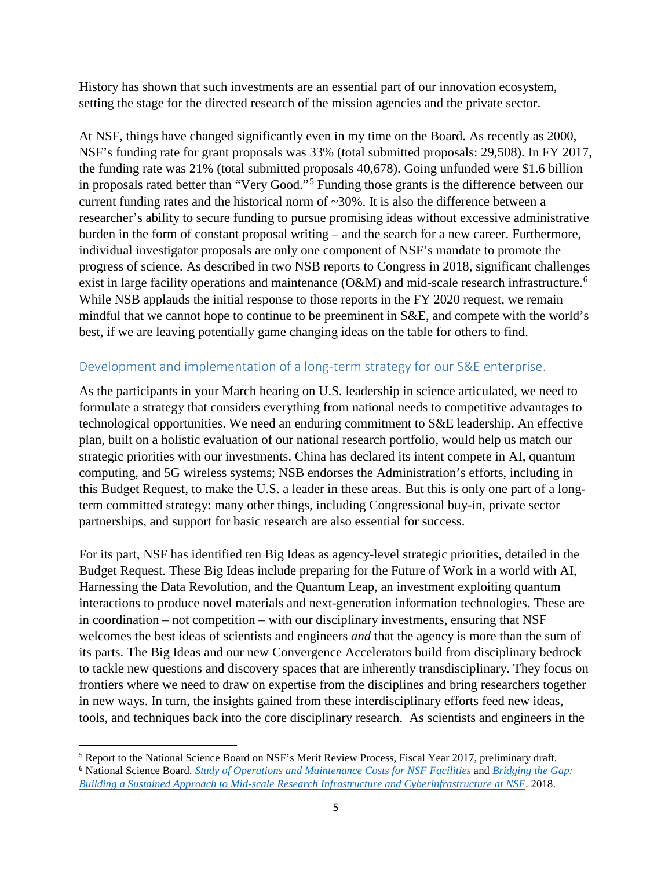History has shown that such investments are an essential part of our innovation ecosystem, setting the stage for the directed research of the mission agencies and the private sector.

At NSF, things have changed significantly even in my time on the Board. As recently as 2000, NSF's funding rate for grant proposals was 33% (total submitted proposals: 29,508). In FY 2017, the funding rate was 21% (total submitted proposals 40,678). Going unfunded were \$1.6 billion in proposals rated better than "Very Good."[5](#page-4-0) Funding those grants is the difference between our current funding rates and the historical norm of  $\sim 30\%$ . It is also the difference between a researcher's ability to secure funding to pursue promising ideas without excessive administrative burden in the form of constant proposal writing – and the search for a new career. Furthermore, individual investigator proposals are only one component of NSF's mandate to promote the progress of science. As described in two NSB reports to Congress in 2018, significant challenges exist in large facility operations and maintenance (O&M) and mid-scale research infrastructure.<sup>[6](#page-4-1)</sup> While NSB applauds the initial response to those reports in the FY 2020 request, we remain mindful that we cannot hope to continue to be preeminent in S&E, and compete with the world's best, if we are leaving potentially game changing ideas on the table for others to find.

#### Development and implementation of a long-term strategy for our S&E enterprise.

As the participants in your March hearing on U.S. leadership in science articulated, we need to formulate a strategy that considers everything from national needs to competitive advantages to technological opportunities. We need an enduring commitment to S&E leadership. An effective plan, built on a holistic evaluation of our national research portfolio, would help us match our strategic priorities with our investments. China has declared its intent compete in AI, quantum computing, and 5G wireless systems; NSB endorses the Administration's efforts, including in this Budget Request, to make the U.S. a leader in these areas. But this is only one part of a longterm committed strategy: many other things, including Congressional buy-in, private sector partnerships, and support for basic research are also essential for success.

For its part, NSF has identified ten Big Ideas as agency-level strategic priorities, detailed in the Budget Request. These Big Ideas include preparing for the Future of Work in a world with AI, Harnessing the Data Revolution, and the Quantum Leap, an investment exploiting quantum interactions to produce novel materials and next-generation information technologies. These are in coordination – not competition – with our disciplinary investments, ensuring that NSF welcomes the best ideas of scientists and engineers *and* that the agency is more than the sum of its parts. The Big Ideas and our new Convergence Accelerators build from disciplinary bedrock to tackle new questions and discovery spaces that are inherently transdisciplinary. They focus on frontiers where we need to draw on expertise from the disciplines and bring researchers together in new ways. In turn, the insights gained from these interdisciplinary efforts feed new ideas, tools, and techniques back into the core disciplinary research. As scientists and engineers in the

l

<span id="page-4-1"></span><span id="page-4-0"></span><sup>5</sup> Report to the National Science Board on NSF's Merit Review Process, Fiscal Year 2017, preliminary draft. <sup>6</sup> National Science Board*. [Study of Operations and Maintenance Costs for NSF Facilities](https://www.nsf.gov/nsb/publications/2018/NSB-2018-17-Operations-and-Maintenance-Report-to-Congress.pdf)* and *[Bridging the Gap:](https://www.nsf.gov/nsb/publications/2018/NSB-2018-40-Midscale-Research-Infrastructure-Report-to-Congress-Oct2018.pdf)  [Building a Sustained Approach to Mid-scale Research Infrastructure and Cyberinfrastructure at NSF](https://www.nsf.gov/nsb/publications/2018/NSB-2018-40-Midscale-Research-Infrastructure-Report-to-Congress-Oct2018.pdf)*. 2018.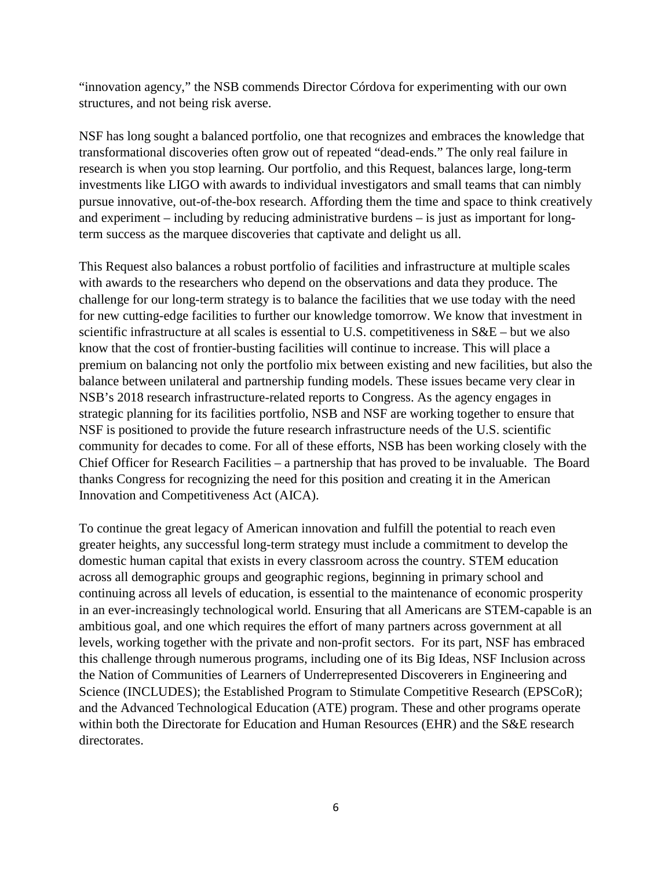"innovation agency," the NSB commends Director Córdova for experimenting with our own structures, and not being risk averse.

NSF has long sought a balanced portfolio, one that recognizes and embraces the knowledge that transformational discoveries often grow out of repeated "dead-ends." The only real failure in research is when you stop learning. Our portfolio, and this Request, balances large, long-term investments like LIGO with awards to individual investigators and small teams that can nimbly pursue innovative, out-of-the-box research. Affording them the time and space to think creatively and experiment – including by reducing administrative burdens – is just as important for longterm success as the marquee discoveries that captivate and delight us all.

This Request also balances a robust portfolio of facilities and infrastructure at multiple scales with awards to the researchers who depend on the observations and data they produce. The challenge for our long-term strategy is to balance the facilities that we use today with the need for new cutting-edge facilities to further our knowledge tomorrow. We know that investment in scientific infrastructure at all scales is essential to U.S. competitiveness in S&E – but we also know that the cost of frontier-busting facilities will continue to increase. This will place a premium on balancing not only the portfolio mix between existing and new facilities, but also the balance between unilateral and partnership funding models. These issues became very clear in NSB's 2018 research infrastructure-related reports to Congress. As the agency engages in strategic planning for its facilities portfolio, NSB and NSF are working together to ensure that NSF is positioned to provide the future research infrastructure needs of the U.S. scientific community for decades to come. For all of these efforts, NSB has been working closely with the Chief Officer for Research Facilities – a partnership that has proved to be invaluable. The Board thanks Congress for recognizing the need for this position and creating it in the American Innovation and Competitiveness Act (AICA).

To continue the great legacy of American innovation and fulfill the potential to reach even greater heights, any successful long-term strategy must include a commitment to develop the domestic human capital that exists in every classroom across the country. STEM education across all demographic groups and geographic regions, beginning in primary school and continuing across all levels of education, is essential to the maintenance of economic prosperity in an ever-increasingly technological world. Ensuring that all Americans are STEM-capable is an ambitious goal, and one which requires the effort of many partners across government at all levels, working together with the private and non-profit sectors. For its part, NSF has embraced this challenge through numerous programs, including one of its Big Ideas, NSF Inclusion across the Nation of Communities of Learners of Underrepresented Discoverers in Engineering and Science (INCLUDES); the Established Program to Stimulate Competitive Research (EPSCoR); and the Advanced Technological Education (ATE) program. These and other programs operate within both the Directorate for Education and Human Resources (EHR) and the S&E research directorates.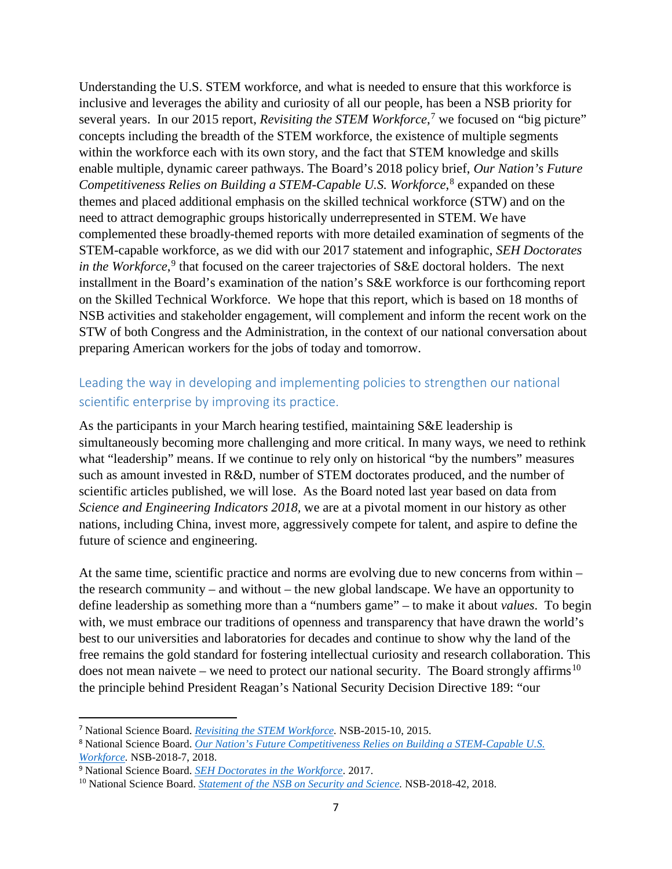Understanding the U.S. STEM workforce, and what is needed to ensure that this workforce is inclusive and leverages the ability and curiosity of all our people, has been a NSB priority for several years. In our 2015 report, *Revisiting the STEM Workforce*,<sup>[7](#page-6-0)</sup> we focused on "big picture" concepts including the breadth of the STEM workforce, the existence of multiple segments within the workforce each with its own story, and the fact that STEM knowledge and skills enable multiple, dynamic career pathways. The Board's 2018 policy brief, *Our Nation's Future*  Competitiveness Relies on Building a STEM-Capable U.S. Workforce,<sup>[8](#page-6-1)</sup> expanded on these themes and placed additional emphasis on the skilled technical workforce (STW) and on the need to attract demographic groups historically underrepresented in STEM. We have complemented these broadly-themed reports with more detailed examination of segments of the STEM-capable workforce, as we did with our 2017 statement and infographic, *SEH Doctorates in the Workforce*,<sup>[9](#page-6-2)</sup> that focused on the career trajectories of S&E doctoral holders. The next installment in the Board's examination of the nation's S&E workforce is our forthcoming report on the Skilled Technical Workforce. We hope that this report, which is based on 18 months of NSB activities and stakeholder engagement, will complement and inform the recent work on the STW of both Congress and the Administration, in the context of our national conversation about preparing American workers for the jobs of today and tomorrow.

### Leading the way in developing and implementing policies to strengthen our national scientific enterprise by improving its practice.

As the participants in your March hearing testified, maintaining S&E leadership is simultaneously becoming more challenging and more critical. In many ways, we need to rethink what "leadership" means. If we continue to rely only on historical "by the numbers" measures such as amount invested in R&D, number of STEM doctorates produced, and the number of scientific articles published, we will lose. As the Board noted last year based on data from *Science and Engineering Indicators 2018,* we are at a pivotal moment in our history as other nations, including China, invest more, aggressively compete for talent, and aspire to define the future of science and engineering.

At the same time, scientific practice and norms are evolving due to new concerns from within – the research community – and without – the new global landscape. We have an opportunity to define leadership as something more than a "numbers game" – to make it about *values*. To begin with, we must embrace our traditions of openness and transparency that have drawn the world's best to our universities and laboratories for decades and continue to show why the land of the free remains the gold standard for fostering intellectual curiosity and research collaboration. This does not mean naivete – we need to protect our national security. The Board strongly affirms<sup>[10](#page-6-3)</sup> the principle behind President Reagan's National Security Decision Directive 189: "our

<span id="page-6-0"></span> <sup>7</sup> National Science Board. *[Revisiting the STEM Workforce.](https://www.nsf.gov/nsb/publications/2015/nsb201510.pdf)* NSB-2015-10, 2015.

<span id="page-6-1"></span><sup>8</sup> National Science Board. *Our Nation's Future Competitiveness [Relies on Building a STEM-Capable U.S.](https://www.nsf.gov/nsb/sei/companion-brief/NSB-2018-7.pdf)  [Workforce.](https://www.nsf.gov/nsb/sei/companion-brief/NSB-2018-7.pdf)* NSB-2018-7, 2018.

<span id="page-6-2"></span><sup>9</sup> National Science Board. *[SEH Doctorates in the Workforce](https://www.nsf.gov/nsb/sei/infographic2/)*. 2017.

<span id="page-6-3"></span><sup>10</sup> National Science Board. *[Statement of the NSB on Security and Science.](https://www.nsf.gov/nsb/publications/2018/NSB-2018-42-statement-on-security-and-science.pdf)* NSB-2018-42, 2018.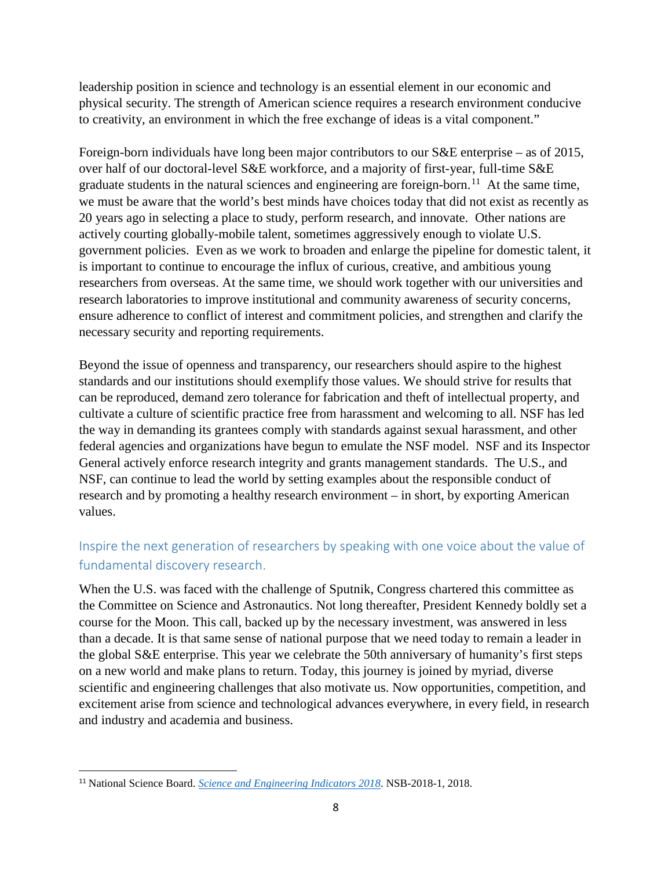leadership position in science and technology is an essential element in our economic and physical security. The strength of American science requires a research environment conducive to creativity, an environment in which the free exchange of ideas is a vital component."

Foreign-born individuals have long been major contributors to our S&E enterprise – as of 2015, over half of our doctoral-level S&E workforce, and a majority of first-year, full-time S&E graduate students in the natural sciences and engineering are foreign-born.<sup>[11](#page-7-0)</sup> At the same time, we must be aware that the world's best minds have choices today that did not exist as recently as 20 years ago in selecting a place to study, perform research, and innovate. Other nations are actively courting globally-mobile talent, sometimes aggressively enough to violate U.S. government policies. Even as we work to broaden and enlarge the pipeline for domestic talent, it is important to continue to encourage the influx of curious, creative, and ambitious young researchers from overseas. At the same time, we should work together with our universities and research laboratories to improve institutional and community awareness of security concerns, ensure adherence to conflict of interest and commitment policies, and strengthen and clarify the necessary security and reporting requirements.

Beyond the issue of openness and transparency, our researchers should aspire to the highest standards and our institutions should exemplify those values. We should strive for results that can be reproduced, demand zero tolerance for fabrication and theft of intellectual property, and cultivate a culture of scientific practice free from harassment and welcoming to all. NSF has led the way in demanding its grantees comply with standards against sexual harassment, and other federal agencies and organizations have begun to emulate the NSF model. NSF and its Inspector General actively enforce research integrity and grants management standards. The U.S., and NSF, can continue to lead the world by setting examples about the responsible conduct of research and by promoting a healthy research environment – in short, by exporting American values.

# Inspire the next generation of researchers by speaking with one voice about the value of fundamental discovery research.

When the U.S. was faced with the challenge of Sputnik, Congress chartered this committee as the Committee on Science and Astronautics. Not long thereafter, President Kennedy boldly set a course for the Moon. This call, backed up by the necessary investment, was answered in less than a decade. It is that same sense of national purpose that we need today to remain a leader in the global S&E enterprise. This year we celebrate the 50th anniversary of humanity's first steps on a new world and make plans to return. Today, this journey is joined by myriad, diverse scientific and engineering challenges that also motivate us. Now opportunities, competition, and excitement arise from science and technological advances everywhere, in every field, in research and industry and academia and business.

<span id="page-7-0"></span> <sup>11</sup> National Science Board. *[Science and Engineering Indicators 2018](https://www.nsf.gov/statistics/indicators/)*. NSB-2018-1, 2018.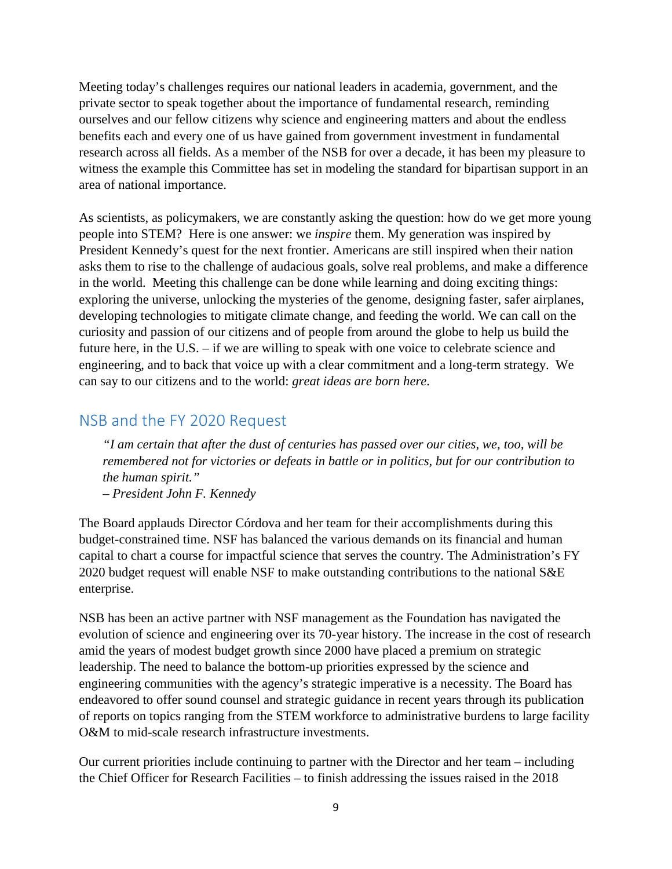Meeting today's challenges requires our national leaders in academia, government, and the private sector to speak together about the importance of fundamental research, reminding ourselves and our fellow citizens why science and engineering matters and about the endless benefits each and every one of us have gained from government investment in fundamental research across all fields. As a member of the NSB for over a decade, it has been my pleasure to witness the example this Committee has set in modeling the standard for bipartisan support in an area of national importance.

As scientists, as policymakers, we are constantly asking the question: how do we get more young people into STEM? Here is one answer: we *inspire* them. My generation was inspired by President Kennedy's quest for the next frontier. Americans are still inspired when their nation asks them to rise to the challenge of audacious goals, solve real problems, and make a difference in the world. Meeting this challenge can be done while learning and doing exciting things: exploring the universe, unlocking the mysteries of the genome, designing faster, safer airplanes, developing technologies to mitigate climate change, and feeding the world. We can call on the curiosity and passion of our citizens and of people from around the globe to help us build the future here, in the U.S. – if we are willing to speak with one voice to celebrate science and engineering, and to back that voice up with a clear commitment and a long-term strategy. We can say to our citizens and to the world: *great ideas are born here*.

### NSB and the FY 2020 Request

*"I am certain that after the dust of centuries has passed over our cities, we, too, will be remembered not for victories or defeats in battle or in politics, but for our contribution to the human spirit." – President John F. Kennedy* 

The Board applauds Director Córdova and her team for their accomplishments during this budget-constrained time. NSF has balanced the various demands on its financial and human capital to chart a course for impactful science that serves the country. The Administration's FY 2020 budget request will enable NSF to make outstanding contributions to the national S&E enterprise.

NSB has been an active partner with NSF management as the Foundation has navigated the evolution of science and engineering over its 70-year history. The increase in the cost of research amid the years of modest budget growth since 2000 have placed a premium on strategic leadership. The need to balance the bottom-up priorities expressed by the science and engineering communities with the agency's strategic imperative is a necessity. The Board has endeavored to offer sound counsel and strategic guidance in recent years through its publication of reports on topics ranging from the STEM workforce to administrative burdens to large facility O&M to mid-scale research infrastructure investments.

Our current priorities include continuing to partner with the Director and her team – including the Chief Officer for Research Facilities – to finish addressing the issues raised in the 2018